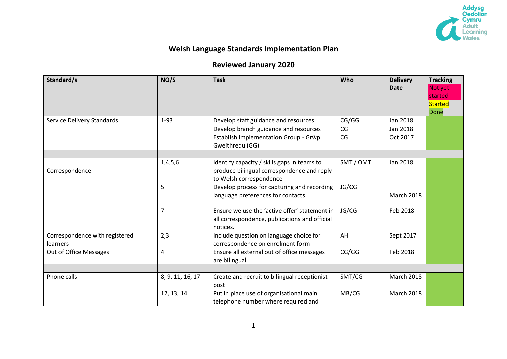

## **Welsh Language Standards Implementation Plan**

## **Reviewed January 2020**

| Standard/s                                 | NO/S             | <b>Task</b>                                                                                                          | Who       | <b>Delivery</b><br><b>Date</b> | <b>Tracking</b><br>Not yet<br>started<br><b>Started</b><br>Done |
|--------------------------------------------|------------------|----------------------------------------------------------------------------------------------------------------------|-----------|--------------------------------|-----------------------------------------------------------------|
| Service Delivery Standards                 | $1-93$           | Develop staff guidance and resources                                                                                 | CG/GG     | Jan 2018                       |                                                                 |
|                                            |                  | Develop branch guidance and resources                                                                                | CG        | Jan 2018                       |                                                                 |
|                                            |                  | Establish Implementation Group - Grŵp<br>Gweithredu (GG)                                                             | CG        | Oct 2017                       |                                                                 |
|                                            |                  |                                                                                                                      |           |                                |                                                                 |
| Correspondence                             | 1,4,5,6          | Identify capacity / skills gaps in teams to<br>produce bilingual correspondence and reply<br>to Welsh correspondence | SMT / OMT | Jan 2018                       |                                                                 |
|                                            | 5                | Develop process for capturing and recording<br>language preferences for contacts                                     | JG/CG     | <b>March 2018</b>              |                                                                 |
|                                            | $\overline{7}$   | Ensure we use the 'active offer' statement in<br>all correspondence, publications and official<br>notices.           | JG/CG     | Feb 2018                       |                                                                 |
| Correspondence with registered<br>learners | 2,3              | Include question on language choice for<br>correspondence on enrolment form                                          | AH        | Sept 2017                      |                                                                 |
| Out of Office Messages                     | $\overline{4}$   | Ensure all external out of office messages<br>are bilingual                                                          | CG/GG     | Feb 2018                       |                                                                 |
|                                            |                  |                                                                                                                      |           |                                |                                                                 |
| Phone calls                                | 8, 9, 11, 16, 17 | Create and recruit to bilingual receptionist<br>post                                                                 | SMT/CG    | <b>March 2018</b>              |                                                                 |
|                                            | 12, 13, 14       | Put in place use of organisational main<br>telephone number where required and                                       | MB/CG     | March 2018                     |                                                                 |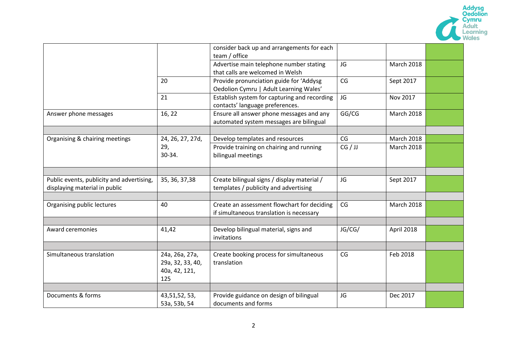

|                                           |                  | consider back up and arrangements for each   |         |                   |  |
|-------------------------------------------|------------------|----------------------------------------------|---------|-------------------|--|
|                                           |                  | team / office                                |         |                   |  |
|                                           |                  | Advertise main telephone number stating      | JG      | <b>March 2018</b> |  |
|                                           |                  | that calls are welcomed in Welsh             |         |                   |  |
|                                           | 20               | Provide pronunciation guide for 'Addysg      | CG      | Sept 2017         |  |
|                                           |                  | Oedolion Cymru   Adult Learning Wales'       |         |                   |  |
|                                           | 21               | Establish system for capturing and recording | JG      | Nov 2017          |  |
|                                           |                  | contacts' language preferences.              |         |                   |  |
| Answer phone messages                     | 16, 22           | Ensure all answer phone messages and any     | GG/CG   | <b>March 2018</b> |  |
|                                           |                  | automated system messages are bilingual      |         |                   |  |
|                                           |                  |                                              |         |                   |  |
| Organising & chairing meetings            | 24, 26, 27, 27d, | Develop templates and resources              | CG      | <b>March 2018</b> |  |
|                                           | 29,              | Provide training on chairing and running     | CG / JJ | March 2018        |  |
|                                           | $30-34.$         | bilingual meetings                           |         |                   |  |
|                                           |                  |                                              |         |                   |  |
|                                           |                  |                                              |         |                   |  |
| Public events, publicity and advertising, | 35, 36, 37, 38   | Create bilingual signs / display material /  | JG      | Sept 2017         |  |
| displaying material in public             |                  | templates / publicity and advertising        |         |                   |  |
|                                           |                  |                                              |         |                   |  |
| Organising public lectures                | 40               | Create an assessment flowchart for deciding  | CG      | March 2018        |  |
|                                           |                  | if simultaneous translation is necessary     |         |                   |  |
|                                           |                  |                                              |         |                   |  |
| Award ceremonies                          | 41,42            | Develop bilingual material, signs and        | JG/CG/  | April 2018        |  |
|                                           |                  | invitations                                  |         |                   |  |
|                                           |                  |                                              |         |                   |  |
| Simultaneous translation                  | 24a, 26a, 27a,   | Create booking process for simultaneous      | CG      | Feb 2018          |  |
|                                           | 29a, 32, 33, 40, | translation                                  |         |                   |  |
|                                           | 40a, 42, 121,    |                                              |         |                   |  |
|                                           | 125              |                                              |         |                   |  |
|                                           |                  |                                              |         |                   |  |
| Documents & forms                         | 43, 51, 52, 53,  | Provide guidance on design of bilingual      | JG      | Dec 2017          |  |
|                                           | 53a, 53b, 54     | documents and forms                          |         |                   |  |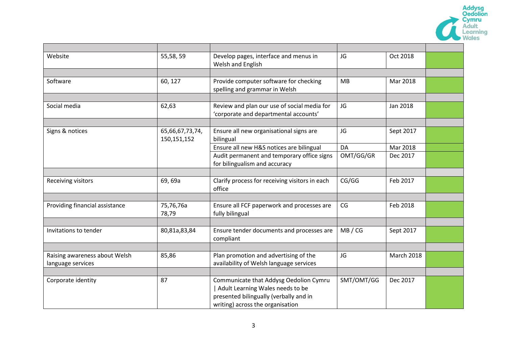|                                                    |                                |                                                                                                                                                          |            |                   | <b>Addysg<br/>Oedolion</b><br>Cymru<br><b>Adult</b><br>earning |
|----------------------------------------------------|--------------------------------|----------------------------------------------------------------------------------------------------------------------------------------------------------|------------|-------------------|----------------------------------------------------------------|
|                                                    |                                |                                                                                                                                                          |            |                   |                                                                |
| Website                                            | 55,58,59                       | Develop pages, interface and menus in<br>Welsh and English                                                                                               | JG         | Oct 2018          |                                                                |
|                                                    |                                |                                                                                                                                                          |            |                   |                                                                |
| Software                                           | 60, 127                        | Provide computer software for checking<br>spelling and grammar in Welsh                                                                                  | MB         | Mar 2018          |                                                                |
|                                                    |                                |                                                                                                                                                          |            |                   |                                                                |
| Social media                                       | 62,63                          | Review and plan our use of social media for<br>'corporate and departmental accounts'                                                                     | JG         | Jan 2018          |                                                                |
|                                                    |                                |                                                                                                                                                          |            |                   |                                                                |
| Signs & notices                                    | 65,66,67,73,74,<br>150,151,152 | Ensure all new organisational signs are<br>bilingual                                                                                                     | JG         | Sept 2017         |                                                                |
|                                                    |                                | Ensure all new H&S notices are bilingual                                                                                                                 | DA         | Mar 2018          |                                                                |
|                                                    |                                | Audit permanent and temporary office signs<br>for bilingualism and accuracy                                                                              | OMT/GG/GR  | Dec 2017          |                                                                |
|                                                    |                                |                                                                                                                                                          |            |                   |                                                                |
| Receiving visitors                                 | 69, 69a                        | Clarify process for receiving visitors in each<br>office                                                                                                 | CG/GG      | Feb 2017          |                                                                |
|                                                    |                                |                                                                                                                                                          |            |                   |                                                                |
| Providing financial assistance                     | 75,76,76a<br>78,79             | Ensure all FCF paperwork and processes are<br>fully bilingual                                                                                            | CG         | Feb 2018          |                                                                |
|                                                    |                                |                                                                                                                                                          |            |                   |                                                                |
| Invitations to tender                              | 80,81a,83,84                   | Ensure tender documents and processes are<br>compliant                                                                                                   | MB / CG    | Sept 2017         |                                                                |
|                                                    |                                |                                                                                                                                                          |            |                   |                                                                |
| Raising awareness about Welsh<br>language services | 85,86                          | Plan promotion and advertising of the<br>availability of Welsh language services                                                                         | JG         | <b>March 2018</b> |                                                                |
|                                                    |                                |                                                                                                                                                          |            |                   |                                                                |
| Corporate identity                                 | 87                             | Communicate that Addysg Oedolion Cymru<br>Adult Learning Wales needs to be<br>presented bilingually (verbally and in<br>writing) across the organisation | SMT/OMT/GG | Dec 2017          |                                                                |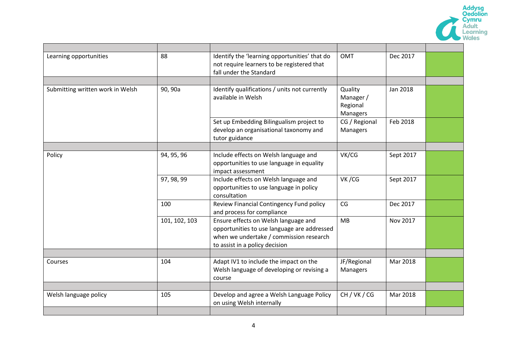

| Learning opportunities           | 88            | Identify the 'learning opportunities' that do<br>not require learners to be registered that<br>fall under the Standard                                           | <b>OMT</b>                                   | Dec 2017  |  |
|----------------------------------|---------------|------------------------------------------------------------------------------------------------------------------------------------------------------------------|----------------------------------------------|-----------|--|
|                                  |               |                                                                                                                                                                  |                                              |           |  |
| Submitting written work in Welsh | 90, 90a       | Identify qualifications / units not currently<br>available in Welsh                                                                                              | Quality<br>Manager /<br>Regional<br>Managers | Jan 2018  |  |
|                                  |               | Set up Embedding Bilingualism project to<br>develop an organisational taxonomy and<br>tutor guidance                                                             | CG / Regional<br>Managers                    | Feb 2018  |  |
|                                  |               |                                                                                                                                                                  |                                              |           |  |
| Policy                           | 94, 95, 96    | Include effects on Welsh language and<br>opportunities to use language in equality<br>impact assessment                                                          | VK/CG                                        | Sept 2017 |  |
|                                  | 97, 98, 99    | Include effects on Welsh language and<br>opportunities to use language in policy<br>consultation                                                                 | VK/CG                                        | Sept 2017 |  |
|                                  | 100           | Review Financial Contingency Fund policy<br>and process for compliance                                                                                           | CG                                           | Dec 2017  |  |
|                                  | 101, 102, 103 | Ensure effects on Welsh language and<br>opportunities to use language are addressed<br>when we undertake / commission research<br>to assist in a policy decision | MB                                           | Nov 2017  |  |
|                                  |               |                                                                                                                                                                  |                                              |           |  |
| Courses                          | 104           | Adapt IV1 to include the impact on the<br>Welsh language of developing or revising a<br>course                                                                   | JF/Regional<br>Managers                      | Mar 2018  |  |
| Welsh language policy            | 105           | Develop and agree a Welsh Language Policy<br>on using Welsh internally                                                                                           | CH / VK / CG                                 | Mar 2018  |  |
|                                  |               |                                                                                                                                                                  |                                              |           |  |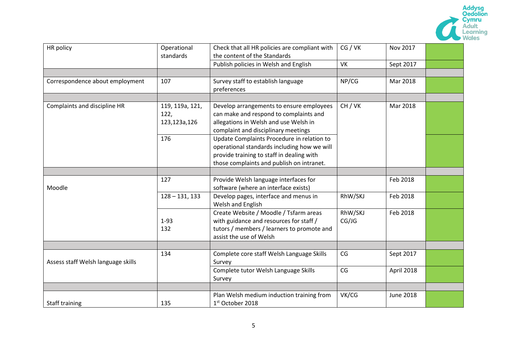

| Operational      | Check that all HR policies are compliant with | CG / VK                      | Nov 2017         |  |
|------------------|-----------------------------------------------|------------------------------|------------------|--|
|                  |                                               |                              |                  |  |
|                  | Publish policies in Welsh and English         | VK                           | Sept 2017        |  |
|                  |                                               |                              |                  |  |
| 107              | Survey staff to establish language            | NP/CG                        | Mar 2018         |  |
|                  | preferences                                   |                              |                  |  |
|                  |                                               |                              |                  |  |
| 119, 119a, 121,  | Develop arrangements to ensure employees      | CH/VK                        | Mar 2018         |  |
| 122,             | can make and respond to complaints and        |                              |                  |  |
| 123,123a,126     | allegations in Welsh and use Welsh in         |                              |                  |  |
|                  | complaint and disciplinary meetings           |                              |                  |  |
| 176              | Update Complaints Procedure in relation to    |                              |                  |  |
|                  | operational standards including how we will   |                              |                  |  |
|                  | provide training to staff in dealing with     |                              |                  |  |
|                  | those complaints and publish on intranet.     |                              |                  |  |
|                  |                                               |                              |                  |  |
| 127              | Provide Welsh language interfaces for         |                              | Feb 2018         |  |
|                  | software (where an interface exists)          |                              |                  |  |
| $128 - 131, 133$ | Develop pages, interface and menus in         | RhW/SKJ                      | Feb 2018         |  |
|                  | Welsh and English                             |                              |                  |  |
|                  | Create Website / Moodle / Tsfarm areas        | RhW/SKJ                      | Feb 2018         |  |
| $1-93$           | with guidance and resources for staff /       | CG/JG                        |                  |  |
| 132              | tutors / members / learners to promote and    |                              |                  |  |
|                  | assist the use of Welsh                       |                              |                  |  |
|                  |                                               |                              |                  |  |
| 134              | Complete core staff Welsh Language Skills     | CG                           | Sept 2017        |  |
|                  | Survey                                        |                              |                  |  |
|                  | Complete tutor Welsh Language Skills          | CG                           | April 2018       |  |
|                  | Survey                                        |                              |                  |  |
|                  |                                               |                              |                  |  |
|                  | Plan Welsh medium induction training from     | VK/CG                        | <b>June 2018</b> |  |
| 135              | 1st October 2018                              |                              |                  |  |
|                  | standards                                     | the content of the Standards |                  |  |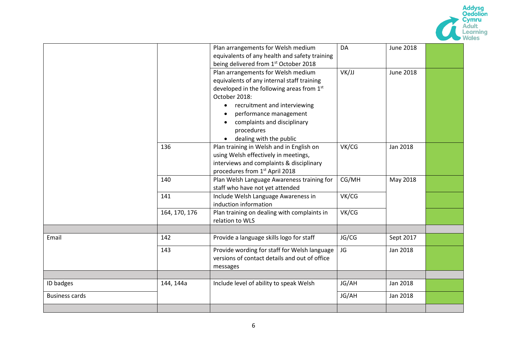

|                       |                       | Plan arrangements for Welsh medium            | DA    | <b>June 2018</b> |  |
|-----------------------|-----------------------|-----------------------------------------------|-------|------------------|--|
|                       |                       | equivalents of any health and safety training |       |                  |  |
|                       |                       | being delivered from 1st October 2018         |       |                  |  |
|                       |                       | Plan arrangements for Welsh medium            | VK/JJ | June 2018        |  |
|                       |                       | equivalents of any internal staff training    |       |                  |  |
|                       |                       | developed in the following areas from 1st     |       |                  |  |
|                       |                       | October 2018:                                 |       |                  |  |
|                       |                       | recruitment and interviewing<br>$\bullet$     |       |                  |  |
|                       |                       | performance management                        |       |                  |  |
|                       |                       | complaints and disciplinary                   |       |                  |  |
|                       |                       | procedures                                    |       |                  |  |
|                       |                       | dealing with the public                       |       |                  |  |
|                       | 136                   | Plan training in Welsh and in English on      | VK/CG | Jan 2018         |  |
|                       |                       | using Welsh effectively in meetings,          |       |                  |  |
|                       |                       | interviews and complaints & disciplinary      |       |                  |  |
|                       |                       | procedures from 1st April 2018                |       |                  |  |
|                       | 140                   | Plan Welsh Language Awareness training for    | CG/MH | May 2018         |  |
|                       |                       | staff who have not yet attended               |       |                  |  |
|                       | 141                   | Include Welsh Language Awareness in           | VK/CG |                  |  |
|                       | induction information |                                               |       |                  |  |
|                       | 164, 170, 176         | Plan training on dealing with complaints in   | VK/CG |                  |  |
|                       |                       | relation to WLS                               |       |                  |  |
|                       |                       |                                               |       |                  |  |
| Email                 | 142                   | Provide a language skills logo for staff      | JG/CG | Sept 2017        |  |
|                       | 143                   | Provide wording for staff for Welsh language  | JG    | Jan 2018         |  |
|                       |                       | versions of contact details and out of office |       |                  |  |
|                       |                       | messages                                      |       |                  |  |
|                       |                       |                                               |       |                  |  |
| ID badges             | 144, 144a             | Include level of ability to speak Welsh       | JG/AH | Jan 2018         |  |
| <b>Business cards</b> |                       |                                               | JG/AH | Jan 2018         |  |
|                       |                       |                                               |       |                  |  |
|                       |                       |                                               |       |                  |  |